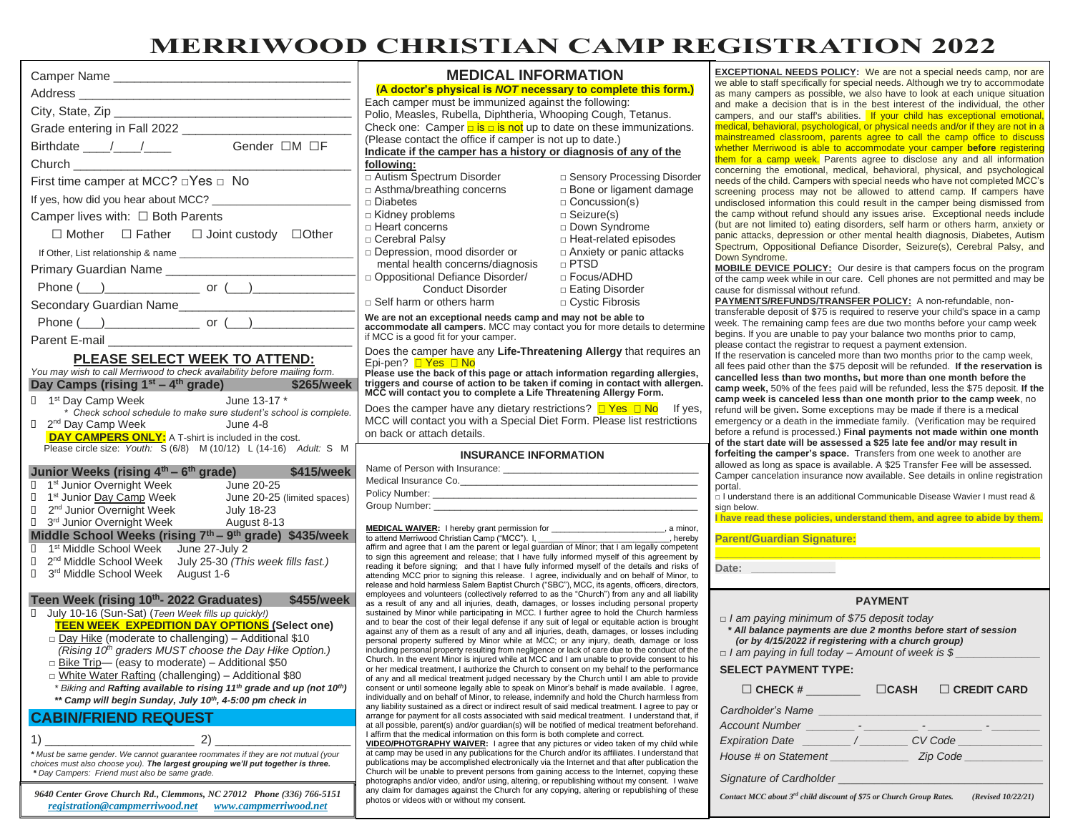## **MERRIWOOD CHRISTIAN CAMP REGISTRATION 2022**

|                                                                                                                                                              | <b>MEDICAL INFORMATION</b>                                                                                                                                                                                                                                                       |                                           |
|--------------------------------------------------------------------------------------------------------------------------------------------------------------|----------------------------------------------------------------------------------------------------------------------------------------------------------------------------------------------------------------------------------------------------------------------------------|-------------------------------------------|
|                                                                                                                                                              | (A doctor's physical is NOT necessary to complete this form.)                                                                                                                                                                                                                    |                                           |
|                                                                                                                                                              | Each camper must be immunized against the following:<br>Polio, Measles, Rubella, Diphtheria, Whooping Cough, Tetanus.                                                                                                                                                            |                                           |
|                                                                                                                                                              | Check one: Camper $\Box$ is $\Box$ is not up to date on these immunizations.                                                                                                                                                                                                     |                                           |
| ${\sf Birthdate}\ {\_\_\_\_\_\_\_\_\_\_\_\_\_\_\_\_\_\_\_\_} \qquad \qquad {\sf Gender}\ \Box{\sf M}\ \Box{\sf F}$                                           | (Please contact the office if camper is not up to date.)                                                                                                                                                                                                                         |                                           |
|                                                                                                                                                              | Indicate if the camper has a history or diagnosis of any of the<br>following:                                                                                                                                                                                                    |                                           |
| First time camper at MCC? <b>Nes</b> D No                                                                                                                    | □ Autism Spectrum Disorder                                                                                                                                                                                                                                                       | □ Sensory Processing Disorder             |
|                                                                                                                                                              | □ Asthma/breathing concerns                                                                                                                                                                                                                                                      | $\Box$ Bone or ligament damage            |
|                                                                                                                                                              | $\Box$ Diabetes<br>□ Kidney problems                                                                                                                                                                                                                                             | $\Box$ Concussion(s)<br>$\Box$ Seizure(s) |
| Camper lives with: □ Both Parents                                                                                                                            | □ Heart concerns                                                                                                                                                                                                                                                                 | Down Syndrome                             |
| $\Box$ Mother $\Box$ Father $\Box$ Joint custody $\Box$ Other                                                                                                | □ Cerebral Palsv                                                                                                                                                                                                                                                                 | $\Box$ Heat-related episodes              |
|                                                                                                                                                              | □ Depression, mood disorder or<br>mental health concerns/diagnosis                                                                                                                                                                                                               | □ Anxiety or panic attacks<br>$\Box$ PTSD |
|                                                                                                                                                              | p Oppositional Defiance Disorder/                                                                                                                                                                                                                                                | □ Focus/ADHD                              |
| Phone $(\_)$ or $(\_)$                                                                                                                                       | <b>Conduct Disorder</b>                                                                                                                                                                                                                                                          | □ Eating Disorder                         |
| Secondary Guardian Name                                                                                                                                      | Self harm or others harm                                                                                                                                                                                                                                                         | □ Cystic Fibrosis                         |
| Phone $(\_\_)$ or $(\_\_)$                                                                                                                                   | We are not an exceptional needs camp and may not be able to<br>accommodate all campers. MCC may contact you for more details to determine                                                                                                                                        |                                           |
| Parent E-mail <b>Example 2018</b>                                                                                                                            | if MCC is a good fit for your camper.<br>Does the camper have any Life-Threatening Allergy that requires an                                                                                                                                                                      |                                           |
| <b>PLEASE SELECT WEEK TO ATTEND:</b>                                                                                                                         | Epi-pen? TYes ΠNo                                                                                                                                                                                                                                                                |                                           |
| You may wish to call Merriwood to check availability before mailing form.<br>Day Camps (rising 1 <sup>st</sup> – 4 <sup>th</sup> grade)<br><b>\$265/week</b> | Please use the back of this page or attach information regarding allergies,<br>triggers and course of action to be taken if coming in contact with allergen<br>MCC will contact you to complete a Life Threatening Allergy Form.                                                 |                                           |
| June 13-17 *<br>1 1 <sup>st</sup> Day Camp Week<br>* Check school schedule to make sure student's school is complete.                                        | Does the camper have any dietary restrictions? $\Box$ Yes $\Box$ No                                                                                                                                                                                                              | If yes                                    |
| D 2 <sup>nd</sup> Day Camp Week<br>June 4-8                                                                                                                  | MCC will contact you with a Special Diet Form. Please list restrictions                                                                                                                                                                                                          |                                           |
| <b>DAY CAMPERS ONLY:</b> A T-shirt is included in the cost.                                                                                                  | on back or attach details.                                                                                                                                                                                                                                                       |                                           |
| Please circle size: Youth: S (6/8) M (10/12) L (14-16) Adult: S M                                                                                            | <b>INSURANCE INFORMATION</b>                                                                                                                                                                                                                                                     |                                           |
| Junior Weeks (rising $4th - 6th$ grade)<br>\$415/week                                                                                                        |                                                                                                                                                                                                                                                                                  |                                           |
| 1 <sup>st</sup> Junior Overnight Week June 20-25                                                                                                             |                                                                                                                                                                                                                                                                                  |                                           |
| 1 <sup>st</sup> Junior <u>Day Camp</u> Week June 20-25 (limited spaces)<br>2 <sup>nd</sup> Junior Overnight Week July 18-23<br>$\Box$<br>П                   |                                                                                                                                                                                                                                                                                  |                                           |
| □ 3 <sup>rd</sup> Junior Overnight Week August 8-13                                                                                                          |                                                                                                                                                                                                                                                                                  |                                           |
| Middle School Weeks (rising 7 <sup>th</sup> – 9 <sup>th</sup> grade) \$435/week                                                                              | MEDICAL WAIVER: I hereby grant permission for ____________________________, a minor,<br>to attend Merriwood Christian Camp ("MCC"). I, ________________________________, hereby<br>affirm and agree that I am the parent or legal guardian of Minor; that I am legally competent |                                           |
| 1 <sup>st</sup> Middle School Week June 27-July 2<br>$\Box$                                                                                                  | to sign this agreement and release; that I have fully informed myself of this agreement by                                                                                                                                                                                       |                                           |
| 2 <sup>nd</sup> Middle School Week July 25-30 (This week fills fast.)<br>П<br>□ 3 <sup>rd</sup> Middle School Week August 1-6                                | reading it before signing; and that I have fully informed myself of the details and risks of                                                                                                                                                                                     |                                           |
|                                                                                                                                                              | attending MCC prior to signing this release. I agree, individually and on behalf of Minor, to<br>release and hold harmless Salem Baptist Church ("SBC"), MCC, its agents, officers, directors,                                                                                   |                                           |
| Teen Week (rising 10 <sup>th</sup> -2022 Graduates)<br>\$455/week                                                                                            | employees and volunteers (collectively referred to as the "Church") from any and all liability<br>as a result of any and all injuries, death, damages, or losses including personal property                                                                                     |                                           |
| □ July 10-16 (Sun-Sat) (Teen Week fills up quickly!)                                                                                                         | sustained by Minor while participating in MCC. I further agree to hold the Church harmless                                                                                                                                                                                       |                                           |
| <b>TEEN WEEK EXPEDITION DAY OPTIONS (Select one)</b>                                                                                                         | and to bear the cost of their legal defense if any suit of legal or equitable action is brought<br>against any of them as a result of any and all injuries, death, damages, or losses including                                                                                  |                                           |
| □ Day Hike (moderate to challenging) - Additional \$10<br>(Rising 10th graders MUST choose the Day Hike Option.)                                             | personal property suffered by Minor while at MCC; or any injury, death, damage or loss<br>including personal property resulting from negligence or lack of care due to the conduct of the                                                                                        |                                           |
| □ Bike Trip- (easy to moderate) - Additional \$50                                                                                                            | Church. In the event Minor is injured while at MCC and I am unable to provide consent to his                                                                                                                                                                                     |                                           |
| □ White Water Rafting (challenging) - Additional \$80                                                                                                        | or her medical treatment, I authorize the Church to consent on my behalf to the performance<br>of any and all medical treatment judged necessary by the Church until I am able to provide                                                                                        |                                           |
| * Biking and Rafting available to rising 11 <sup>th</sup> grade and up (not 10 <sup>th</sup> )                                                               | consent or until someone legally able to speak on Minor's behalf is made available. I agree.<br>individually and on behalf of Minor, to release, indemnify and hold the Church harmless from                                                                                     |                                           |
| ** Camp will begin Sunday, July 10 <sup>th</sup> , 4-5:00 pm check in                                                                                        | any liability sustained as a direct or indirect result of said medical treatment. I agree to pay or                                                                                                                                                                              |                                           |
| <b>CABIN/FRIEND REQUEST</b>                                                                                                                                  | arrange for payment for all costs associated with said medical treatment. I understand that, if<br>at all possible, parent(s) and/or guardian(s) will be notified of medical treatment beforehand.                                                                               |                                           |
| 2)<br>1)                                                                                                                                                     | I affirm that the medical information on this form is both complete and correct.<br>VIDEO/PHOTGRAPHY WAIVER: I agree that any pictures or video taken of my child while                                                                                                          |                                           |
| * Must be same gender. We cannot guarantee roommates if they are not mutual (your                                                                            | at camp may be used in any publications for the Church and/or its affiliates. I understand that                                                                                                                                                                                  |                                           |
| choices must also choose you). The largest grouping we'll put together is three.<br>* Day Campers: Friend must also be same grade.                           | publications may be accomplished electronically via the Internet and that after publication the<br>Church will be unable to prevent persons from gaining access to the Internet, copying these                                                                                   |                                           |
|                                                                                                                                                              | photographs and/or video, and/or using, altering, or republishing without my consent. I waive                                                                                                                                                                                    |                                           |

*9640 Center Grove Church Rd., Clemmons, NC 27012 Phone (336) 766-5151 [registration@campmerriwood.net](mailto:registration@campmerriwood.net) [www.campmerriwood.net](http://www.campmerriwood.net/)*

| <b>MEDICAL INFORMATION</b>                                                                                                                                                                          |                                |  |  |  |  |
|-----------------------------------------------------------------------------------------------------------------------------------------------------------------------------------------------------|--------------------------------|--|--|--|--|
| (A doctor's physical is NOT necessary to complete this form.)                                                                                                                                       |                                |  |  |  |  |
| Each camper must be immunized against the following:                                                                                                                                                |                                |  |  |  |  |
| Polio, Measles, Rubella, Diphtheria, Whooping Cough, Tetanus.                                                                                                                                       |                                |  |  |  |  |
| Check one: Camper $\Box$ is $\Box$ is not up to date on these immunizations.                                                                                                                        |                                |  |  |  |  |
| (Please contact the office if camper is not up to date.)                                                                                                                                            |                                |  |  |  |  |
| Indicate if the camper has a history or diagnosis of any of the                                                                                                                                     |                                |  |  |  |  |
| following:                                                                                                                                                                                          |                                |  |  |  |  |
| □ Autism Spectrum Disorder                                                                                                                                                                          | □ Sensory Processing Disorder  |  |  |  |  |
| □ Asthma/breathing concerns                                                                                                                                                                         | $\Box$ Bone or ligament damage |  |  |  |  |
| □ Diabetes                                                                                                                                                                                          | $\Box$ Concussion(s)           |  |  |  |  |
| □ Kidney problems                                                                                                                                                                                   | $\Box$ Seizure(s)              |  |  |  |  |
| □ Heart concerns                                                                                                                                                                                    | □ Down Syndrome                |  |  |  |  |
| □ Cerebral Palsy                                                                                                                                                                                    | □ Heat-related episodes        |  |  |  |  |
| □ Depression, mood disorder or                                                                                                                                                                      | □ Anxiety or panic attacks     |  |  |  |  |
| mental health concerns/diagnosis                                                                                                                                                                    | $\sqcap$ PTSD                  |  |  |  |  |
| □ Oppositional Defiance Disorder/                                                                                                                                                                   | □ Focus/ADHD                   |  |  |  |  |
| Conduct Disorder                                                                                                                                                                                    | □ Eating Disorder              |  |  |  |  |
| □ Self harm or others harm                                                                                                                                                                          | □ Cystic Fibrosis              |  |  |  |  |
|                                                                                                                                                                                                     |                                |  |  |  |  |
| We are not an exceptional needs camp and may not be able to<br>accommodate all campers. MCC may contact you for more details to determine<br>if MCC is a good fit for your camper.                  |                                |  |  |  |  |
| Does the camper have any Life-Threatening Allergy that requires an                                                                                                                                  |                                |  |  |  |  |
| Epi-pen? DYes DNo                                                                                                                                                                                   |                                |  |  |  |  |
| Please use the back of this page or attach information regarding allergies,                                                                                                                         |                                |  |  |  |  |
| triggers and course of action to be taken if coming in contact with allergen.<br>MCC will contact you to complete a Life Threatening Allergy Form.                                                  |                                |  |  |  |  |
|                                                                                                                                                                                                     |                                |  |  |  |  |
| Does the camper have any dietary restrictions? $\square$ Yes $\square$ No<br>If yes,                                                                                                                |                                |  |  |  |  |
| MCC will contact you with a Special Diet Form. Please list restrictions                                                                                                                             |                                |  |  |  |  |
| on back or attach details.                                                                                                                                                                          |                                |  |  |  |  |
|                                                                                                                                                                                                     | <b>INSURANCE INFORMATION</b>   |  |  |  |  |
| Name of Person with Insurance:                                                                                                                                                                      |                                |  |  |  |  |
|                                                                                                                                                                                                     |                                |  |  |  |  |
| Medical Insurance Co.                                                                                                                                                                               |                                |  |  |  |  |
| Policy Number: _______                                                                                                                                                                              |                                |  |  |  |  |
| Group Number: __                                                                                                                                                                                    |                                |  |  |  |  |
|                                                                                                                                                                                                     |                                |  |  |  |  |
|                                                                                                                                                                                                     |                                |  |  |  |  |
|                                                                                                                                                                                                     |                                |  |  |  |  |
| affirm and agree that I am the parent or legal guardian of Minor; that I am legally competent                                                                                                       |                                |  |  |  |  |
| to sign this agreement and release; that I have fully informed myself of this agreement by<br>reading it before signing; and that I have fully informed myself of the details and risks of          |                                |  |  |  |  |
| attending MCC prior to signing this release. I agree, individually and on behalf of Minor, to                                                                                                       |                                |  |  |  |  |
| release and hold harmless Salem Baptist Church ("SBC"), MCC, its agents, officers, directors,                                                                                                       |                                |  |  |  |  |
| employees and volunteers (collectively referred to as the "Church") from any and all liability<br>as a result of any and all injuries, death, damages, or losses including personal property        |                                |  |  |  |  |
| sustained by Minor while participating in MCC. I further agree to hold the Church harmless                                                                                                          |                                |  |  |  |  |
| and to bear the cost of their legal defense if any suit of legal or equitable action is brought                                                                                                     |                                |  |  |  |  |
| against any of them as a result of any and all injuries, death, damages, or losses including<br>personal property suffered by Minor while at MCC; or any injury, death, damage or loss              |                                |  |  |  |  |
| including personal property resulting from negligence or lack of care due to the conduct of the                                                                                                     |                                |  |  |  |  |
| Church. In the event Minor is injured while at MCC and I am unable to provide consent to his                                                                                                        |                                |  |  |  |  |
| or her medical treatment, I authorize the Church to consent on my behalf to the performance<br>of any and all medical treatment judged necessary by the Church until I am able to provide           |                                |  |  |  |  |
| consent or until someone legally able to speak on Minor's behalf is made available. I agree,                                                                                                        |                                |  |  |  |  |
| individually and on behalf of Minor, to release, indemnify and hold the Church harmless from<br>any liability sustained as a direct or indirect result of said medical treatment. I agree to pay or |                                |  |  |  |  |

t the medical information on this form is both complete and correct. **IOTGRAPHY WAIVER:** I agree that any pictures or video taken of my child while ay be used in any publications for the Church and/or its affiliates. I understand that is may be accomplished electronically via the Internet and that after publication the be unable to prevent persons from gaining access to the Internet, copying these photographs and/or video, and/or using, altering, or republishing without my consent. I waive any claim for damages against the Church for any copying, altering or republishing of these photos or videos with or without my consent.

| <b>EXCEPTIONAL NEEDS POLICY:</b> We are not a special needs camp, nor are         |  |  |  |
|-----------------------------------------------------------------------------------|--|--|--|
| we able to staff specifically for special needs. Although we try to accommodate   |  |  |  |
| as many campers as possible, we also have to look at each unique situation        |  |  |  |
| and make a decision that is in the best interest of the individual, the other     |  |  |  |
| campers, and our staff's abilities. If your child has exceptional emotional.      |  |  |  |
| medical, behavioral, psychological, or physical needs and/or if they are not in a |  |  |  |
| mainstreamed classroom, parents agree to call the camp office to discuss          |  |  |  |
| whether Merriwood is able to accommodate your camper before registering           |  |  |  |
| them for a camp week. Parents agree to disclose any and all information           |  |  |  |
| concerning the emotional, medical, behavioral, physical, and psychological        |  |  |  |
| needs of the child. Campers with special needs who have not completed MCC's       |  |  |  |
| screening process may not be allowed to attend camp. If campers have              |  |  |  |
| undisclosed information this could result in the camper being dismissed from      |  |  |  |
| the camp without refund should any issues arise. Exceptional needs include        |  |  |  |
| (but are not limited to) eating disorders, self harm or others harm, anxiety or   |  |  |  |
| panic attacks, depression or other mental health diagnosis, Diabetes, Autism      |  |  |  |
| Spectrum, Oppositional Defiance Disorder, Seizure(s), Cerebral Palsy, and         |  |  |  |
| Down Syndrome.                                                                    |  |  |  |

EXCEPTIONAL NEEDS POLICY MIL

**MOBILE DEVICE POLICY:** Our desire is that campers focus on the program of the camp week while in our care. Cell phones are not permitted and may be cause for dismissal without refund.

**PAYMENTS/REFUNDS/TRANSFER POLICY:** A non-refundable, nontransferable deposit of \$75 is required to reserve your child's space in a camp week. The remaining camp fees are due two months before your camp week begins. If you are unable to pay your balance two months prior to camp, please contact the registrar to request a payment extension. If the reservation is canceled more than two months prior to the camp week,

all fees paid other than the \$75 deposit will be refunded. **If the reservation is cancelled less than two months, but more than one month before the camp week,** 50% of the fees paid will be refunded, less the \$75 deposit. **If the camp week is canceled less than one month prior to the camp week**, no refund will be given**.** Some exceptions may be made if there is a medical emergency or a death in the immediate family. (Verification may be required before a refund is processed.) **Final payments not made within one month of the start date will be assessed a \$25 late fee and/or may result in** 

**forfeiting the camper's space.** Transfers from one week to another are allowed as long as space is available. A \$25 Transfer Fee will be assessed. Camper cancelation insurance now available. See details in online registration portal.

.<br>□ I understand there is an additional Communicable Disease Wavier I must read & sign below.

**I have read these policies, understand them, and agree to abide by them.** 

**\_\_\_\_\_\_\_\_\_\_\_\_\_\_\_\_\_\_\_\_\_\_\_\_\_\_\_\_\_\_\_\_\_\_\_\_\_\_\_\_\_\_\_\_\_\_\_\_\_\_\_\_\_\_** 

**Parent/Guardian Signature:** 

Date:

## **PAYMENT**

| $\Box$ I am paying minimum of \$75 deposit today<br>* All balance payments are due 2 months before start of session<br>(or by 4/15/2022 if registering with a church group)<br>□ I am paying in full today - Amount of week is \$ |  |                                |  |  |
|-----------------------------------------------------------------------------------------------------------------------------------------------------------------------------------------------------------------------------------|--|--------------------------------|--|--|
| <b>SELECT PAYMENT TYPE:</b>                                                                                                                                                                                                       |  |                                |  |  |
| $\Box$ CHECK # $\Box$                                                                                                                                                                                                             |  | $\Box$ CASH $\Box$ CREDIT CARD |  |  |
| Cardholder's Name                                                                                                                                                                                                                 |  |                                |  |  |
| Account Number <b>Account</b> Number                                                                                                                                                                                              |  |                                |  |  |
|                                                                                                                                                                                                                                   |  |                                |  |  |
| House # on Statement New York 1997                                                                                                                                                                                                |  | Zip Code <b>Simulation</b>     |  |  |
| Signature of Cardholder                                                                                                                                                                                                           |  |                                |  |  |
| Contact MCC about 3 <sup>rd</sup> child discount of \$75 or Church Group Rates.<br>(Revised 10/22/21)                                                                                                                             |  |                                |  |  |